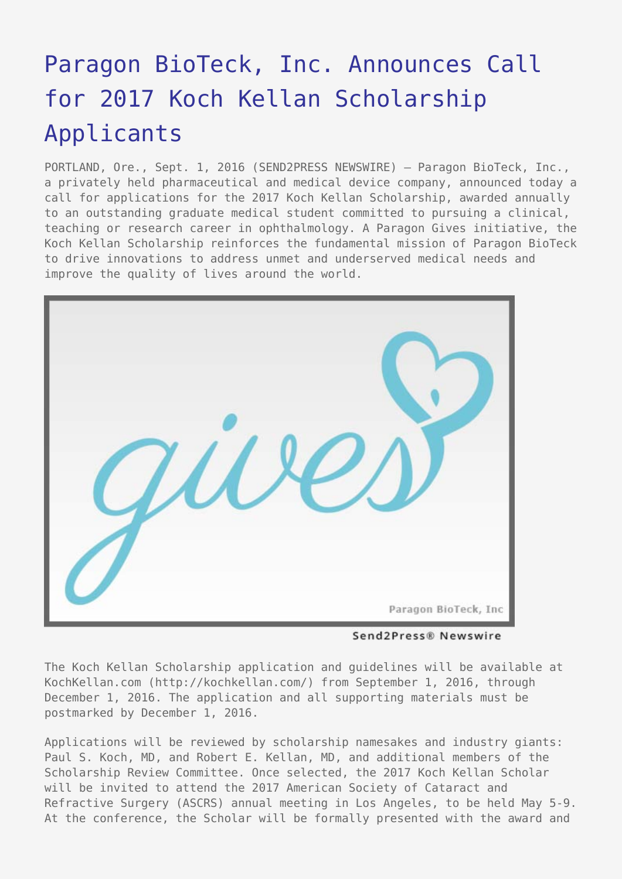## [Paragon BioTeck, Inc. Announces Call](https://www.send2press.com/wire/paragon-bioteck-inc-announces-call-for-2017-koch-kellan-scholarship-applicants/) [for 2017 Koch Kellan Scholarship](https://www.send2press.com/wire/paragon-bioteck-inc-announces-call-for-2017-koch-kellan-scholarship-applicants/) [Applicants](https://www.send2press.com/wire/paragon-bioteck-inc-announces-call-for-2017-koch-kellan-scholarship-applicants/)

PORTLAND, Ore., Sept. 1, 2016 (SEND2PRESS NEWSWIRE) — Paragon BioTeck, Inc., a privately held pharmaceutical and medical device company, announced today a call for applications for the 2017 Koch Kellan Scholarship, awarded annually to an outstanding graduate medical student committed to pursuing a clinical, teaching or research career in ophthalmology. A Paragon Gives initiative, the Koch Kellan Scholarship reinforces the fundamental mission of Paragon BioTeck to drive innovations to address unmet and underserved medical needs and improve the quality of lives around the world.



Send2Press® Newswire

The Koch Kellan Scholarship application and guidelines will be available at KochKellan.com (http://kochkellan.com/) from September 1, 2016, through December 1, 2016. The application and all supporting materials must be postmarked by December 1, 2016.

Applications will be reviewed by scholarship namesakes and industry giants: Paul S. Koch, MD, and Robert E. Kellan, MD, and additional members of the Scholarship Review Committee. Once selected, the 2017 Koch Kellan Scholar will be invited to attend the 2017 American Society of Cataract and Refractive Surgery (ASCRS) annual meeting in Los Angeles, to be held May 5-9. At the conference, the Scholar will be formally presented with the award and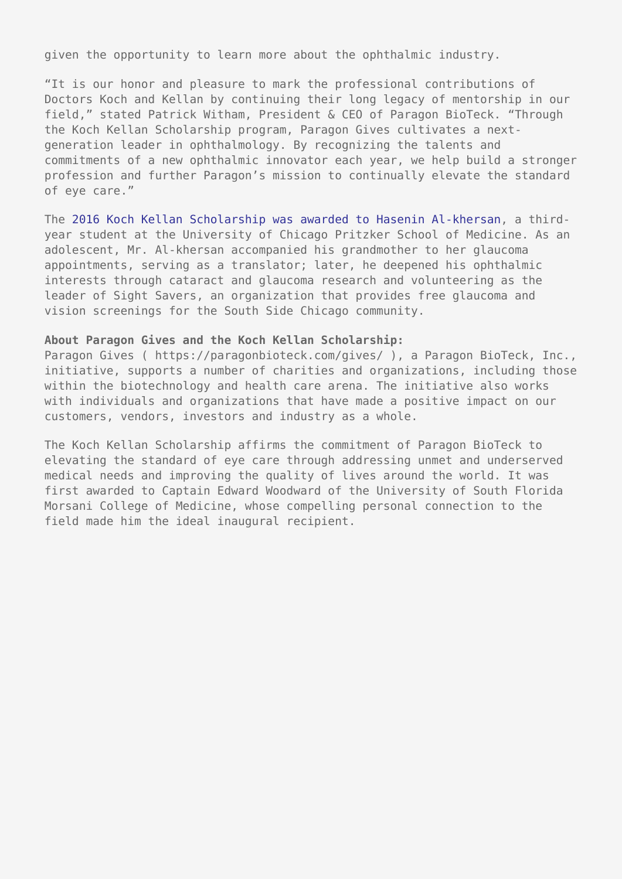given the opportunity to learn more about the ophthalmic industry.

"It is our honor and pleasure to mark the professional contributions of Doctors Koch and Kellan by continuing their long legacy of mentorship in our field," stated Patrick Witham, President & CEO of Paragon BioTeck. "Through the Koch Kellan Scholarship program, Paragon Gives cultivates a nextgeneration leader in ophthalmology. By recognizing the talents and commitments of a new ophthalmic innovator each year, we help build a stronger profession and further Paragon's mission to continually elevate the standard of eye care."

The [2016 Koch Kellan Scholarship was awarded to Hasenin Al-khersan,](https://www.send2press.com/newswire/hasenin-al-khersan-named-2016-koch-kellan-scholar-2016-0418-02.shtml) a thirdyear student at the University of Chicago Pritzker School of Medicine. As an adolescent, Mr. Al-khersan accompanied his grandmother to her glaucoma appointments, serving as a translator; later, he deepened his ophthalmic interests through cataract and glaucoma research and volunteering as the leader of Sight Savers, an organization that provides free glaucoma and vision screenings for the South Side Chicago community.

## **About Paragon Gives and the Koch Kellan Scholarship:**

Paragon Gives ( https://paragonbioteck.com/gives/ ), a Paragon BioTeck, Inc., initiative, supports a number of charities and organizations, including those within the biotechnology and health care arena. The initiative also works with individuals and organizations that have made a positive impact on our customers, vendors, investors and industry as a whole.

The Koch Kellan Scholarship affirms the commitment of Paragon BioTeck to elevating the standard of eye care through addressing unmet and underserved medical needs and improving the quality of lives around the world. It was first awarded to Captain Edward Woodward of the University of South Florida Morsani College of Medicine, whose compelling personal connection to the field made him the ideal inaugural recipient.